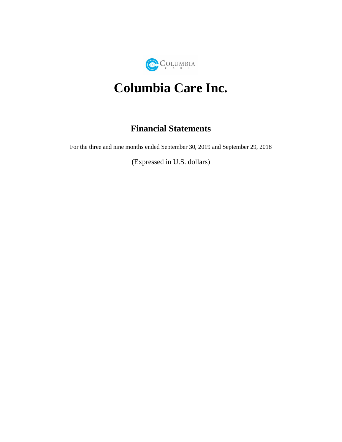

# **Columbia Care Inc.**

# **Financial Statements**

For the three and nine months ended September 30, 2019 and September 29, 2018

(Expressed in U.S. dollars)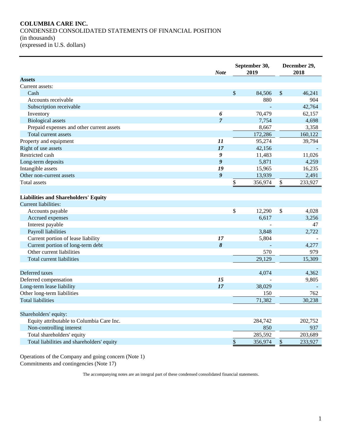#### **COLUMBIA CARE INC.** CONDENSED CONSOLIDATED STATEMENTS OF FINANCIAL POSITION (in thousands) (expressed in U.S. dollars)

|                                             | <b>Note</b>      | September 30,<br>2019 |               | December 29,<br>2018 |
|---------------------------------------------|------------------|-----------------------|---------------|----------------------|
| <b>Assets</b>                               |                  |                       |               |                      |
| Current assets:                             |                  |                       |               |                      |
| Cash                                        |                  | \$<br>84,506          | $\mathcal{S}$ | 46,241               |
| Accounts receivable                         |                  | 880                   |               | 904                  |
| Subscription receivable                     |                  |                       |               | 42,764               |
| Inventory                                   | 6                | 70,479                |               | 62,157               |
| <b>Biological</b> assets                    | $\overline{7}$   | 7,754                 |               | 4,698                |
| Prepaid expenses and other current assets   |                  | 8,667                 |               | 3,358                |
| Total current assets                        |                  | 172,286               |               | 160,122              |
| Property and equipment                      | 11               | 95,274                |               | 39,794               |
| Right of use assets                         | 17               | 42,156                |               |                      |
| Restricted cash                             | $\boldsymbol{g}$ | 11,483                |               | 11,026               |
| Long-term deposits                          | $\boldsymbol{g}$ | 5,871                 |               | 4,259                |
| Intangible assets                           | 19               | 15,965                |               | 16,235               |
| Other non-current assets                    | $\boldsymbol{g}$ | 13,939                |               | 2,491                |
| Total assets                                |                  | \$<br>356,974         | \$            | 233,927              |
|                                             |                  |                       |               |                      |
| <b>Liabilities and Shareholders' Equity</b> |                  |                       |               |                      |
| <b>Current liabilities:</b>                 |                  |                       |               |                      |
| Accounts payable                            |                  | \$<br>12,290          | \$            | 4,028                |
| Accrued expenses                            |                  | 6,617                 |               | 3,256                |
| Interest payable                            |                  |                       |               | 47                   |
| Payroll liabilities                         |                  | 3,848                 |               | 2,722                |
| Current portion of lease liability          | 17               | 5,804                 |               |                      |
| Current portion of long-term debt           | $\delta$         |                       |               | 4,277                |
| Other current liabilities                   |                  | 570                   |               | 979                  |
| Total current liabilities                   |                  | 29,129                |               | 15,309               |
|                                             |                  |                       |               |                      |
| Deferred taxes                              |                  | 4,074                 |               | 4,362                |
| Deferred compensation                       | 15               |                       |               | 9,805                |
| Long-term lease liability                   | 17               | 38,029                |               |                      |
| Other long-term liabilities                 |                  | 150                   |               | 762                  |
| <b>Total liabilities</b>                    |                  | 71,382                |               | 30,238               |
|                                             |                  |                       |               |                      |
| Shareholders' equity:                       |                  |                       |               |                      |
| Equity attributable to Columbia Care Inc.   |                  | 284,742               |               | 202,752              |
| Non-controlling interest                    |                  | 850                   |               | 937                  |
| Total shareholders' equity                  |                  | 285,592               |               | 203,689              |
| Total liabilities and shareholders' equity  |                  | \$<br>356,974         | \$            | 233,927              |
|                                             |                  |                       |               |                      |

Operations of the Company and going concern (Note 1) Commitments and contingencies (Note 17)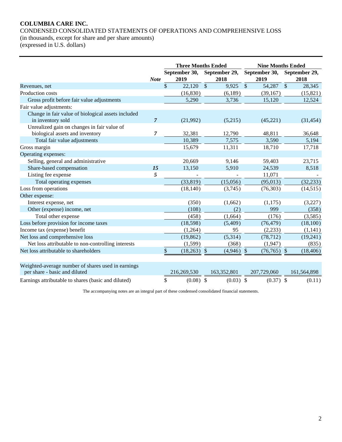CONDENSED CONSOLIDATED STATEMENTS OF OPERATIONS AND COMPREHENSIVE LOSS (in thousands, except for share and per share amounts)

(expressed in U.S. dollars)

|                                                                                     |                | <b>Three Months Ended</b>      |               |               | <b>Nine Months Ended</b> |               |               |         |             |  |
|-------------------------------------------------------------------------------------|----------------|--------------------------------|---------------|---------------|--------------------------|---------------|---------------|---------|-------------|--|
|                                                                                     |                | September 30,<br>September 29, |               |               | September 30,            |               | September 29, |         |             |  |
|                                                                                     | <b>Note</b>    |                                | 2019          |               | 2018                     |               | 2019          |         | 2018        |  |
| Revenues, net                                                                       |                | $\mathcal{S}$                  | 22,120        | $\mathsf{\$}$ | 9,925                    | $\mathcal{S}$ | 54,287        | $\sqrt$ | 28,345      |  |
| Production costs                                                                    |                |                                | (16, 830)     |               | (6,189)                  |               | (39,167)      |         | (15, 821)   |  |
| Gross profit before fair value adjustments                                          |                |                                | 5,290         |               | 3,736                    |               | 15,120        |         | 12,524      |  |
| Fair value adjustments:                                                             |                |                                |               |               |                          |               |               |         |             |  |
| Change in fair value of biological assets included<br>in inventory sold             | $\overline{7}$ |                                | (21,992)      |               | (5,215)                  |               | (45, 221)     |         | (31, 454)   |  |
| Unrealized gain on changes in fair value of                                         |                |                                |               |               |                          |               |               |         |             |  |
| biological assets and inventory                                                     | 7              |                                | 32,381        |               | 12,790                   |               | 48,811        |         | 36,648      |  |
| Total fair value adjustments                                                        |                |                                | 10,389        |               | 7,575                    |               | 3,590         |         | 5,194       |  |
| Gross margin                                                                        |                |                                | 15,679        |               | 11,311                   |               | 18,710        |         | 17,718      |  |
| Operating expenses:                                                                 |                |                                |               |               |                          |               |               |         |             |  |
| Selling, general and administrative                                                 |                |                                | 20,669        |               | 9,146                    |               | 59,403        |         | 23,715      |  |
| Share-based compensation                                                            | 15             |                                | 13,150        |               | 5,910                    |               | 24,539        |         | 8,518       |  |
| Listing fee expense                                                                 | 5              |                                |               |               |                          |               | 11,071        |         |             |  |
| Total operating expenses                                                            |                |                                | (33, 819)     |               | (15,056)                 |               | (95, 013)     |         | (32, 233)   |  |
| Loss from operations                                                                |                |                                | (18, 140)     |               | (3,745)                  |               | (76, 303)     |         | (14, 515)   |  |
| Other expense:                                                                      |                |                                |               |               |                          |               |               |         |             |  |
| Interest expense, net                                                               |                |                                | (350)         |               | (1,662)                  |               | (1,175)       |         | (3,227)     |  |
| Other (expense) income, net                                                         |                |                                | (108)         |               | (2)                      |               | 999           |         | (358)       |  |
| Total other expense                                                                 |                |                                | (458)         |               | (1,664)                  |               | (176)         |         | (3,585)     |  |
| Loss before provision for income taxes                                              |                |                                | (18, 598)     |               | (5,409)                  |               | (76, 479)     |         | (18, 100)   |  |
| Income tax (expense) benefit                                                        |                |                                | (1,264)       |               | 95                       |               | (2,233)       |         | (1,141)     |  |
| Net loss and comprehensive loss                                                     |                |                                | (19, 862)     |               | (5,314)                  |               | (78, 712)     |         | (19,241)    |  |
| Net loss attributable to non-controlling interests                                  |                |                                | (1,599)       |               | (368)                    |               | (1,947)       |         | (835)       |  |
| Net loss attributable to shareholders                                               |                | $\$$                           | $(18,263)$ \$ |               | $(4,946)$ \$             |               | $(76,765)$ \$ |         | (18, 406)   |  |
| Weighted-average number of shares used in earnings<br>per share - basic and diluted |                |                                | 216,269,530   |               | 163,352,801              |               | 207,729,060   |         | 161,564,898 |  |
| Earnings attributable to shares (basic and diluted)                                 |                | \$                             | $(0.08)$ \$   |               | $(0.03)$ \$              |               | $(0.37)$ \$   |         | (0.11)      |  |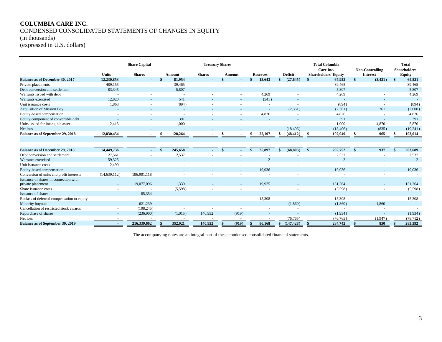#### **COLUMBIA CARE INC.** CONDENSED CONSOLIDATED STATEMENTS OF CHANGES IN EQUITY (in thousands)

(expressed in U.S. dollars)

|                                                            |                | <b>Share Capital</b>     |         |                          | <b>Treasury Shares</b> |        |    |                 |                  |              | <b>Total Columbia</b>                    |                                           |    | <b>Total</b>            |
|------------------------------------------------------------|----------------|--------------------------|---------|--------------------------|------------------------|--------|----|-----------------|------------------|--------------|------------------------------------------|-------------------------------------------|----|-------------------------|
|                                                            | <b>Units</b>   | <b>Shares</b>            | Amount  | <b>Shares</b>            |                        | Amount |    | <b>Reserves</b> | <b>Deficit</b>   |              | Care Inc.<br><b>Shareholders' Equity</b> | <b>Non-Controlling</b><br><b>Interest</b> |    | Shareholders'<br>Equity |
| <b>Balance as of December 30, 2017</b>                     | 12,230,853     | $\overline{\phantom{a}}$ | 81,954  | $\overline{\phantom{a}}$ |                        |        |    | 13,643          | (27, 645)        |              | 67.952                                   | (3,431)                                   | -S | 64,521                  |
| Private placements                                         | 489,155        |                          | 39,465  |                          |                        |        |    |                 |                  |              | 39,465                                   |                                           |    | 39,465                  |
| Debt conversion and settlement                             | 83,345         | $\sim$                   | 5,807   |                          |                        |        |    |                 |                  |              | 5,807                                    | $\overline{a}$                            |    | 5,807                   |
| Warrants issued with debt                                  |                |                          | $\sim$  |                          |                        |        |    | 4,269           |                  |              | 4,269                                    | ۰                                         |    | 4,269                   |
| Warrants exercised                                         | 12,820         |                          | 541     |                          |                        |        |    | (541)           |                  |              |                                          | $\overline{a}$                            |    |                         |
| Unit issuance costs                                        | 1,868          |                          | (894)   |                          |                        |        |    | $\sim$          |                  |              | (894)                                    | $\overline{\phantom{a}}$                  |    | (894)                   |
| <b>Acquisition of Mission Bay</b>                          |                |                          | $\sim$  |                          |                        |        |    | $\sim$          | (2,361)          |              | (2,361)                                  | 361                                       |    | (2,000)                 |
| Equity-based compensation                                  |                |                          |         |                          |                        |        |    | 4.826           |                  |              | 4,826                                    |                                           |    | 4,826                   |
| Equity component of convertible debt                       |                |                          | 391     |                          |                        |        |    |                 |                  |              | 391                                      |                                           |    | 391                     |
| Units issued for intangible asset                          | 12,413         |                          | 1,000   |                          |                        |        |    |                 |                  |              | 1,000                                    | 4,870                                     |    | 5,870                   |
| Net loss                                                   |                |                          | $\sim$  |                          |                        |        |    |                 | (18, 406)        |              | (18, 406)                                | (835)                                     |    | (19,241)                |
| Balance as of September 29, 2018                           | 12,830,454     |                          | 128,264 |                          |                        |        |    | 22,197          | (48, 412)        |              | 102,049                                  | 965                                       |    | 103,014                 |
|                                                            |                |                          |         |                          |                        |        |    |                 |                  |              |                                          |                                           |    |                         |
| <b>Balance as of December 29, 2018</b>                     | 14,449,736     | $\overline{\phantom{a}}$ | 245,658 |                          |                        |        |    | 25,897          | (68, 803)        | $\mathbf{s}$ | 202,752                                  | 937                                       |    | 203,689                 |
| Debt conversion and settlement                             | 27,561         |                          | 2,537   |                          |                        |        |    |                 |                  |              | 2,537                                    |                                           |    | 2,537                   |
| Warrants exercised                                         | 159,325        |                          |         |                          |                        |        |    | $\Omega$        |                  |              | $\overline{2}$                           |                                           |    | $\overline{2}$          |
| Unit issuance costs                                        | 2,490          |                          |         |                          |                        |        |    |                 |                  |              |                                          |                                           |    |                         |
| Equity-based compensation                                  |                |                          |         |                          |                        |        |    | 19,036          |                  |              | 19,036                                   | $\overline{a}$                            |    | 19,036                  |
| Conversion of units and profit interests                   | (14, 639, 112) | 196,901.118              |         |                          |                        |        |    |                 |                  |              |                                          |                                           |    |                         |
| Issuance of shares in connection with<br>private placement | $\sim$         | 19,077,096               | 111,339 |                          |                        |        |    | 19,925          |                  |              | 131,264                                  |                                           |    | 131,264                 |
| Share issuance costs                                       |                |                          | (5,598) |                          |                        |        |    |                 |                  |              | (5,598)                                  | $\overline{\phantom{a}}$                  |    | (5,598)                 |
| Issuance of shares                                         |                | 85,354                   |         |                          |                        |        |    |                 |                  |              |                                          |                                           |    |                         |
| Reclass of deferred compensation to equity                 |                |                          |         |                          |                        |        |    | 15,308          |                  |              | 15,308                                   | $\overline{\phantom{a}}$                  |    | 15,308                  |
| Minority buyouts                                           |                | 621,239                  |         |                          |                        |        |    |                 | (1,860)          |              | (1,860)                                  | 1,860                                     |    |                         |
| Cancellation of restricted stock awards                    | ٠              | (108, 245)               |         |                          |                        |        |    |                 |                  |              |                                          |                                           |    |                         |
| Repurchase of shares                                       |                | (236,900)                | (1,015) | 140,952                  |                        | (919)  |    |                 |                  |              | (1,934)                                  |                                           |    | (1,934)                 |
| Net loss                                                   |                |                          |         |                          |                        |        |    |                 | (76, 765)        |              | (76, 765)                                | (1,947)                                   |    | (78, 712)               |
| <b>Balance as of September 30, 2019</b>                    | $\overline{a}$ | 216,339,662              | 352,921 | 140,952                  |                        | (919)  | -8 | 80,168          | \$<br>(147, 428) | -\$          | 284,742                                  | 850                                       |    | 285,592                 |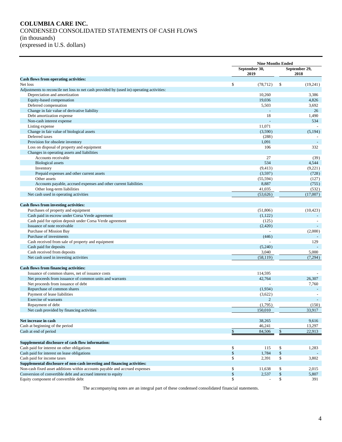#### **COLUMBIA CARE INC.** CONDENSED CONSOLIDATED STATEMENTS OF CASH FLOWS (in thousands) (expressed in U.S. dollars)

|                                                                                           |               | <b>Nine Months Ended</b> |               |           |  |
|-------------------------------------------------------------------------------------------|---------------|--------------------------|---------------|-----------|--|
|                                                                                           |               | September 30,            | September 29, |           |  |
|                                                                                           |               | 2019                     |               | 2018      |  |
| Cash flows from operating activities:                                                     |               |                          |               |           |  |
| Net loss                                                                                  | \$            | (78, 712)                | -\$           | (19,241)  |  |
| Adjustments to reconcile net loss to net cash provided by (used in) operating activities: |               |                          |               |           |  |
| Depreciation and amortization                                                             |               | 10,260                   |               | 3,386     |  |
| Equity-based compensation                                                                 |               | 19,036                   |               | 4,826     |  |
| Deferred compensation                                                                     |               | 5,503                    |               | 3,692     |  |
| Change in fair value of derivative liability                                              |               |                          |               | 26        |  |
| Debt amortization expense                                                                 |               | 18                       |               | 1,490     |  |
| Non-cash interest expense                                                                 |               |                          |               | 534       |  |
| Listing expense                                                                           |               | 11,071                   |               |           |  |
| Change in fair value of biological assets                                                 |               | (3,590)                  |               | (5, 194)  |  |
| Deferred taxes                                                                            |               | (288)                    |               |           |  |
| Provision for obsolete inventory                                                          |               | 1,091                    |               |           |  |
| Loss on disposal of property and equipment                                                |               | 106                      |               | 332       |  |
| Changes in operating assets and liabilities                                               |               |                          |               |           |  |
| Accounts receivable                                                                       |               | 27                       |               | (39)      |  |
| <b>Biological</b> assets                                                                  |               | 534                      |               | 4,544     |  |
| Inventory                                                                                 |               | (9, 413)                 |               | (9,221)   |  |
| Prepaid expenses and other current assets                                                 |               | (3,597)                  |               | (728)     |  |
| Other assets                                                                              |               | (55, 594)                |               | (127)     |  |
| Accounts payable, accrued expenses and other current liabilities                          |               | 8,887                    |               | (755)     |  |
| Other long-term liabilities                                                               |               | 41,035                   |               | (532)     |  |
| Net cash used in operating activities                                                     |               | (53,626)                 |               | (17,007)  |  |
|                                                                                           |               |                          |               |           |  |
| Cash flows from investing activities:                                                     |               |                          |               |           |  |
| Purchases of property and equipment                                                       |               | (51,806)                 |               | (10, 423) |  |
| Cash paid in escrow under Corsa Verde agreement                                           |               | (1,122)                  |               |           |  |
| Cash paid for option deposit under Corsa Verde agreement                                  |               | (125)                    |               |           |  |
| Issuance of note receivable                                                               |               | (2,420)                  |               |           |  |
| Purchase of Mission Bay                                                                   |               |                          |               | (2,000)   |  |
| Purchase of investments                                                                   |               | (446)                    |               |           |  |
| Cash received from sale of property and equipment                                         |               |                          |               | 129       |  |
| Cash paid for deposits                                                                    |               | (5,240)                  |               |           |  |
| Cash received from deposits                                                               |               | 3,040                    |               | 5,000     |  |
| Net cash used in investing activities                                                     |               | (58, 119)                |               | (7,294)   |  |
|                                                                                           |               |                          |               |           |  |
| <b>Cash flows from financing activities:</b>                                              |               |                          |               |           |  |
| Issuance of common shares, net of issuance costs                                          |               | 114,595                  |               |           |  |
| Net proceeds from issuance of common units and warrants                                   |               | 42,764                   |               | 26,307    |  |
| Net proceeds from issuance of debt                                                        |               |                          |               | 7,760     |  |
| Repurchase of common shares                                                               |               | (1,934)                  |               |           |  |
| Payment of lease liabilities                                                              |               | (3,622)                  |               |           |  |
| Exercise of warrants                                                                      |               | $\overline{2}$           |               |           |  |
| Repayment of debt                                                                         |               | (1,795)                  |               | (150)     |  |
| Net cash provided by financing activities                                                 |               | 150,010                  |               | 33,917    |  |
|                                                                                           |               |                          |               |           |  |
| Net increase in cash                                                                      |               | 38,265                   |               | 9,616     |  |
| Cash at beginning of the period                                                           |               | 46,241                   |               | 13,297    |  |
| Cash at end of period                                                                     | $\frac{\$}{}$ | 84,506                   | $\frac{3}{2}$ | 22,913    |  |
|                                                                                           |               |                          |               |           |  |
|                                                                                           |               |                          |               |           |  |
| Supplemental disclosure of cash flow information:                                         |               |                          |               |           |  |
| Cash paid for interest on other obligations                                               | \$            | 115                      | \$            | 1,283     |  |
| Cash paid for interest on lease obligations                                               | \$            | 1,784                    | \$            |           |  |
| Cash paid for income taxes                                                                | \$            | 2,391                    | \$            | 3,802     |  |
| Supplemental disclosure of non-cash investing and financing activities:                   |               |                          |               |           |  |
| Non-cash fixed asset additions within accounts payable and accrued expenses               | \$            | 11,638                   | \$            | 2,015     |  |
| Conversion of convertible debt and accrued interest to equity                             | $\$$          | 2,537                    | $\$$          | 5,807     |  |
| Equity component of convertible debt                                                      | \$            |                          | \$            | 391       |  |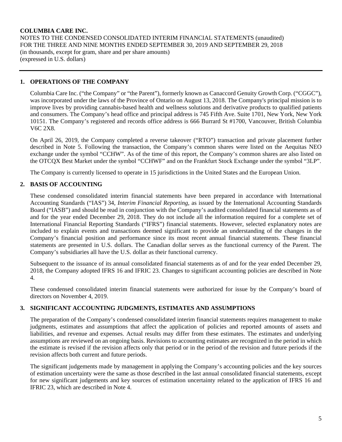NOTES TO THE CONDENSED CONSOLIDATED INTERIM FINANCIAL STATEMENTS (unaudited) FOR THE THREE AND NINE MONTHS ENDED SEPTEMBER 30, 2019 AND SEPTEMBER 29, 2018 (in thousands, except for gram, share and per share amounts) (expressed in U.S. dollars)

#### **1. OPERATIONS OF THE COMPANY**

Columbia Care Inc. ("the Company" or "the Parent"), formerly known as Canaccord Genuity Growth Corp. ("CGGC"), was incorporated under the laws of the Province of Ontario on August 13, 2018. The Company's principal mission is to improve lives by providing cannabis-based health and wellness solutions and derivative products to qualified patients and consumers. The Company's head office and principal address is 745 Fifth Ave. Suite 1701, New York, New York 10151. The Company's registered and records office address is 666 Burrard St #1700, Vancouver, British Columbia V6C 2X8.

On April 26, 2019, the Company completed a reverse takeover ("RTO") transaction and private placement further described in Note 5. Following the transaction, the Company's common shares were listed on the Aequitas NEO exchange under the symbol "CCHW". As of the time of this report, the Company's common shares are also listed on the OTCQX Best Market under the symbol "CCHWF" and on the Frankfurt Stock Exchange under the symbol "3LP".

The Company is currently licensed to operate in 15 jurisdictions in the United States and the European Union.

# **2. BASIS OF ACCOUNTING**

These condensed consolidated interim financial statements have been prepared in accordance with International Accounting Standards ("IAS") 34, *Interim Financial Reporting*, as issued by the International Accounting Standards Board ("IASB") and should be read in conjunction with the Company's audited consolidated financial statements as of and for the year ended December 29, 2018. They do not include all the information required for a complete set of International Financial Reporting Standards ("IFRS") financial statements. However, selected explanatory notes are included to explain events and transactions deemed significant to provide an understanding of the changes in the Company's financial position and performance since its most recent annual financial statements. These financial statements are presented in U.S. dollars. The Canadian dollar serves as the functional currency of the Parent. The Company's subsidiaries all have the U.S. dollar as their functional currency.

Subsequent to the issuance of its annual consolidated financial statements as of and for the year ended December 29, 2018, the Company adopted IFRS 16 and IFRIC 23. Changes to significant accounting policies are described in Note 4.

These condensed consolidated interim financial statements were authorized for issue by the Company's board of directors on November 4, 2019.

#### **3. SIGNIFICANT ACCOUNTING JUDGMENTS, ESTIMATES AND ASSUMPTIONS**

The preparation of the Company's condensed consolidated interim financial statements requires management to make judgments, estimates and assumptions that affect the application of policies and reported amounts of assets and liabilities, and revenue and expenses. Actual results may differ from these estimates. The estimates and underlying assumptions are reviewed on an ongoing basis. Revisions to accounting estimates are recognized in the period in which the estimate is revised if the revision affects only that period or in the period of the revision and future periods if the revision affects both current and future periods.

The significant judgements made by management in applying the Company's accounting policies and the key sources of estimation uncertainty were the same as those described in the last annual consolidated financial statements, except for new significant judgements and key sources of estimation uncertainty related to the application of IFRS 16 and IFRIC 23, which are described in Note 4.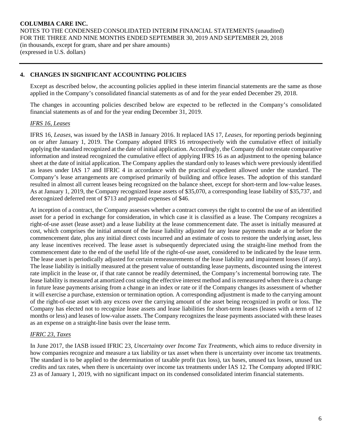# **4. CHANGES IN SIGNIFICANT ACCOUNTING POLICIES**

Except as described below, the accounting policies applied in these interim financial statements are the same as those applied in the Company's consolidated financial statements as of and for the year ended December 29, 2018.

The changes in accounting policies described below are expected to be reflected in the Company's consolidated financial statements as of and for the year ending December 31, 2019.

#### *IFRS 16, Leases*

IFRS 16, *Leases*, was issued by the IASB in January 2016. It replaced IAS 17, *Leases*, for reporting periods beginning on or after January 1, 2019. The Company adopted IFRS 16 retrospectively with the cumulative effect of initially applying the standard recognized at the date of initial application. Accordingly, the Company did not restate comparative information and instead recognized the cumulative effect of applying IFRS 16 as an adjustment to the opening balance sheet at the date of initial application. The Company applies the standard only to leases which were previously identified as leases under IAS 17 and IFRIC 4 in accordance with the practical expedient allowed under the standard. The Company's lease arrangements are comprised primarily of building and office leases. The adoption of this standard resulted in almost all current leases being recognized on the balance sheet, except for short-term and low-value leases. As at January 1, 2019, the Company recognized lease assets of \$35,070, a corresponding lease liability of \$35,737, and derecognized deferred rent of \$713 and prepaid expenses of \$46.

At inception of a contract, the Company assesses whether a contract conveys the right to control the use of an identified asset for a period in exchange for consideration, in which case it is classified as a lease. The Company recognizes a right-of-use asset (lease asset) and a lease liability at the lease commencement date. The asset is initially measured at cost, which comprises the initial amount of the lease liability adjusted for any lease payments made at or before the commencement date, plus any initial direct costs incurred and an estimate of costs to restore the underlying asset, less any lease incentives received. The lease asset is subsequently depreciated using the straight-line method from the commencement date to the end of the useful life of the right-of-use asset, considered to be indicated by the lease term. The lease asset is periodically adjusted for certain remeasurements of the lease liability and impairment losses (if any). The lease liability is initially measured at the present value of outstanding lease payments, discounted using the interest rate implicit in the lease or, if that rate cannot be readily determined, the Company's incremental borrowing rate. The lease liability is measured at amortized cost using the effective interest method and is remeasured when there is a change in future lease payments arising from a change in an index or rate or if the Company changes its assessment of whether it will exercise a purchase, extension or termination option. A corresponding adjustment is made to the carrying amount of the right-of-use asset with any excess over the carrying amount of the asset being recognized in profit or loss. The Company has elected not to recognize lease assets and lease liabilities for short-term leases (leases with a term of 12 months or less) and leases of low-value assets. The Company recognizes the lease payments associated with these leases as an expense on a straight-line basis over the lease term.

#### *IFRIC 23, Taxes*

In June 2017, the IASB issued IFRIC 23, *Uncertainty over Income Tax Treatments*, which aims to reduce diversity in how companies recognize and measure a tax liability or tax asset when there is uncertainty over income tax treatments. The standard is to be applied to the determination of taxable profit (tax loss), tax bases, unused tax losses, unused tax credits and tax rates, when there is uncertainty over income tax treatments under IAS 12. The Company adopted IFRIC 23 as of January 1, 2019, with no significant impact on its condensed consolidated interim financial statements.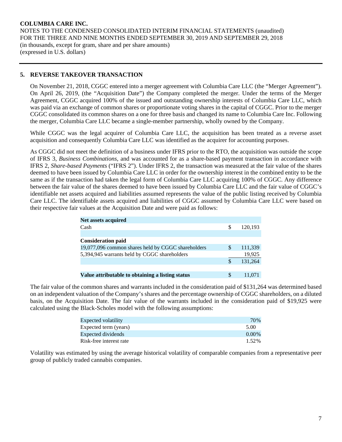# **5. REVERSE TAKEOVER TRANSACTION**

On November 21, 2018, CGGC entered into a merger agreement with Columbia Care LLC (the "Merger Agreement"). On April 26, 2019, (the "Acquisition Date") the Company completed the merger. Under the terms of the Merger Agreement, CGGC acquired 100% of the issued and outstanding ownership interests of Columbia Care LLC, which was paid via an exchange of common shares or proportionate voting shares in the capital of CGGC. Prior to the merger CGGC consolidated its common shares on a one for three basis and changed its name to Columbia Care Inc. Following the merger, Columbia Care LLC became a single-member partnership, wholly owned by the Company.

While CGGC was the legal acquirer of Columbia Care LLC, the acquisition has been treated as a reverse asset acquisition and consequently Columbia Care LLC was identified as the acquirer for accounting purposes.

As CGGC did not meet the definition of a business under IFRS prior to the RTO, the acquisition was outside the scope of IFRS 3, *Business Combinations*, and was accounted for as a share-based payment transaction in accordance with IFRS 2, *Share-based Payments* ("IFRS 2"). Under IFRS 2, the transaction was measured at the fair value of the shares deemed to have been issued by Columbia Care LLC in order for the ownership interest in the combined entity to be the same as if the transaction had taken the legal form of Columbia Care LLC acquiring 100% of CGGC. Any difference between the fair value of the shares deemed to have been issued by Columbia Care LLC and the fair value of CGGC's identifiable net assets acquired and liabilities assumed represents the value of the public listing received by Columbia Care LLC. The identifiable assets acquired and liabilities of CGGC assumed by Columbia Care LLC were based on their respective fair values at the Acquisition Date and were paid as follows:

| <b>Net assets acquired</b>                         |   |         |
|----------------------------------------------------|---|---------|
| Cash                                               | S | 120.193 |
|                                                    |   |         |
| <b>Consideration paid</b>                          |   |         |
| 19,077,096 common shares held by CGGC shareholders | S | 111,339 |
| 5,394,945 warrants held by CGGC shareholders       |   | 19,925  |
|                                                    |   | 131,264 |
|                                                    |   |         |
| Value attributable to obtaining a listing status   |   | 11.071  |

The fair value of the common shares and warrants included in the consideration paid of \$131,264 was determined based on an independent valuation of the Company's shares and the percentage ownership of CGGC shareholders, on a diluted basis, on the Acquisition Date. The fair value of the warrants included in the consideration paid of \$19,925 were calculated using the Black-Scholes model with the following assumptions:

| Expected volatility     | 70%      |
|-------------------------|----------|
| Expected term (years)   | 5.00     |
| Expected dividends      | $0.00\%$ |
| Risk-free interest rate | 1.52%    |

Volatility was estimated by using the average historical volatility of comparable companies from a representative peer group of publicly traded cannabis companies.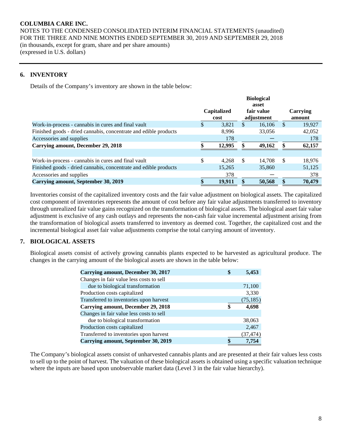NOTES TO THE CONDENSED CONSOLIDATED INTERIM FINANCIAL STATEMENTS (unaudited) FOR THE THREE AND NINE MONTHS ENDED SEPTEMBER 30, 2019 AND SEPTEMBER 29, 2018 (in thousands, except for gram, share and per share amounts) (expressed in U.S. dollars)

#### **6. INVENTORY**

Details of the Company's inventory are shown in the table below:

|                                                                  | <b>Biological</b>   |        |               |                                   |          |                           |
|------------------------------------------------------------------|---------------------|--------|---------------|-----------------------------------|----------|---------------------------|
|                                                                  | Capitalized<br>cost |        |               | asset<br>fair value<br>adjustment |          | <b>Carrying</b><br>amount |
| Work-in-process - cannabis in cures and final vault              | \$                  | 3,821  | S             | 16,106                            | <b>S</b> | 19,927                    |
| Finished goods - dried cannabis, concentrate and edible products |                     | 8.996  |               | 33,056                            |          | 42,052                    |
| Accessories and supplies                                         |                     | 178    |               |                                   |          | 178                       |
| Carrying amount, December 29, 2018                               |                     | 12,995 | 49,162        |                                   |          | 62,157                    |
|                                                                  |                     |        |               |                                   |          |                           |
| Work-in-process - cannabis in cures and final vault              | \$                  | 4.268  | <sup>\$</sup> | 14.708                            | \$.      | 18,976                    |
| Finished goods - dried cannabis, concentrate and edible products |                     | 15,265 |               | 35,860                            |          | 51,125                    |
| Accessories and supplies                                         |                     | 378    |               |                                   |          | 378                       |
| Carrying amount, September 30, 2019                              | \$                  | 19.911 |               | 50,568                            |          | 70,479                    |

Inventories consist of the capitalized inventory costs and the fair value adjustment on biological assets. The capitalized cost component of inventories represents the amount of cost before any fair value adjustments transferred to inventory through unrealized fair value gains recognized on the transformation of biological assets. The biological asset fair value adjustment is exclusive of any cash outlays and represents the non-cash fair value incremental adjustment arising from the transformation of biological assets transferred to inventory as deemed cost. Together, the capitalized cost and the incremental biological asset fair value adjustments comprise the total carrying amount of inventory.

#### **7. BIOLOGICAL ASSETS**

Biological assets consist of actively growing cannabis plants expected to be harvested as agricultural produce. The changes in the carrying amount of the biological assets are shown in the table below:

| Carrying amount, December 30, 2017         | 5,453     |
|--------------------------------------------|-----------|
| Changes in fair value less costs to sell   |           |
| due to biological transformation           | 71,100    |
| Production costs capitalized               | 3,330     |
| Transferred to inventories upon harvest    | (75, 185) |
| <b>Carrying amount, December 29, 2018</b>  | 4,698     |
| Changes in fair value less costs to sell   |           |
| due to biological transformation           | 38,063    |
| Production costs capitalized               | 2,467     |
| Transferred to inventories upon harvest    | (37, 474) |
| <b>Carrying amount, September 30, 2019</b> | 7.754     |

The Company's biological assets consist of unharvested cannabis plants and are presented at their fair values less costs to sell up to the point of harvest. The valuation of these biological assets is obtained using a specific valuation technique where the inputs are based upon unobservable market data (Level 3 in the fair value hierarchy).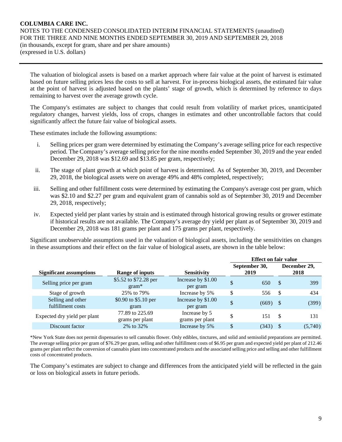The valuation of biological assets is based on a market approach where fair value at the point of harvest is estimated based on future selling prices less the costs to sell at harvest. For in-process biological assets, the estimated fair value at the point of harvest is adjusted based on the plants' stage of growth, which is determined by reference to days remaining to harvest over the average growth cycle.

The Company's estimates are subject to changes that could result from volatility of market prices, unanticipated regulatory changes, harvest yields, loss of crops, changes in estimates and other uncontrollable factors that could significantly affect the future fair value of biological assets.

These estimates include the following assumptions:

- i. Selling prices per gram were determined by estimating the Company's average selling price for each respective period. The Company's average selling price for the nine months ended September 30, 2019 and the year ended December 29, 2018 was \$12.69 and \$13.85 per gram, respectively;
- ii. The stage of plant growth at which point of harvest is determined. As of September 30, 2019, and December 29, 2018, the biological assets were on average 49% and 48% completed, respectively;
- iii. Selling and other fulfillment costs were determined by estimating the Company's average cost per gram, which was \$2.10 and \$2.27 per gram and equivalent gram of cannabis sold as of September 30, 2019 and December 29, 2018, respectively;
- iv. Expected yield per plant varies by strain and is estimated through historical growing results or grower estimate if historical results are not available. The Company's average dry yield per plant as of September 30, 2019 and December 29, 2018 was 181 grams per plant and 175 grams per plant, respectively.

Significant unobservable assumptions used in the valuation of biological assets, including the sensitivities on changes in these assumptions and their effect on the fair value of biological assets, are shown in the table below:

|                                        |                                    |                                  |                       | <b>Effect on fair value</b> |                      |  |  |  |
|----------------------------------------|------------------------------------|----------------------------------|-----------------------|-----------------------------|----------------------|--|--|--|
| <b>Significant assumptions</b>         | <b>Range of inputs</b>             | <b>Sensitivity</b>               | September 30,<br>2019 |                             | December 29,<br>2018 |  |  |  |
| Selling price per gram                 | \$5.52 to \$72.28 per<br>$gram*$   | Increase by \$1.00<br>per gram   | \$<br>650             | $\mathcal{S}$               | 399                  |  |  |  |
| Stage of growth                        | 25% to 79%                         | Increase by 5%                   | \$<br>556             | -S                          | 434                  |  |  |  |
| Selling and other<br>fulfillment costs | \$0.90 to \$5.10 per<br>gram       | Increase by \$1.00<br>per gram   | \$<br>(669)           | - \$                        | (399)                |  |  |  |
| Expected dry yield per plant           | 77.89 to 225.69<br>grams per plant | Increase by 5<br>grams per plant | \$<br>151             | <sup>\$</sup>               | 131                  |  |  |  |
| Discount factor                        | 2\% to 32\%                        | Increase by 5%                   | \$<br>(343)           |                             | (5,740)              |  |  |  |

\*New York State does not permit dispensaries to sell cannabis flower. Only edibles, tinctures, and solid and semisolid preparations are permitted. The average selling price per gram of \$76.29 per gram, selling and other fulfillment costs of \$6.95 per gram and expected yield per plant of 212.46 grams per plant reflect the conversion of cannabis plant into concentrated products and the associated selling price and selling and other fulfillment costs of concentrated products.

The Company's estimates are subject to change and differences from the anticipated yield will be reflected in the gain or loss on biological assets in future periods.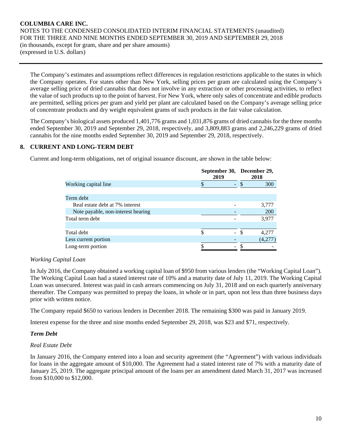The Company's estimates and assumptions reflect differences in regulation restrictions applicable to the states in which the Company operates. For states other than New York, selling prices per gram are calculated using the Company's average selling price of dried cannabis that does not involve in any extraction or other processing activities, to reflect the value of such products up to the point of harvest. For New York, where only sales of concentrate and edible products are permitted, selling prices per gram and yield per plant are calculated based on the Company's average selling price of concentrate products and dry weight equivalent grams of such products in the fair value calculation.

The Company's biological assets produced 1,401,776 grams and 1,031,876 grams of dried cannabis for the three months ended September 30, 2019 and September 29, 2018, respectively, and 3,809,883 grams and 2,246,229 grams of dried cannabis for the nine months ended September 30, 2019 and September 29, 2018, respectively.

### **8. CURRENT AND LONG-TERM DEBT**

Current and long-term obligations, net of original issuance discount, are shown in the table below:

|                                    | 2019 |  | September 30, December 29,<br>2018 |  |  |
|------------------------------------|------|--|------------------------------------|--|--|
| Working capital line               |      |  | 300                                |  |  |
|                                    |      |  |                                    |  |  |
| Term debt                          |      |  |                                    |  |  |
| Real estate debt at 7% interest    |      |  | 3,777                              |  |  |
| Note payable, non-interest bearing |      |  | 200                                |  |  |
| Total term debt                    |      |  | 3,977                              |  |  |
|                                    |      |  |                                    |  |  |
| Total debt                         | S    |  | 4,277                              |  |  |
| Less current portion               |      |  | (4,277                             |  |  |
| Long-term portion                  |      |  |                                    |  |  |

# *Working Capital Loan*

In July 2016, the Company obtained a working capital loan of \$950 from various lenders (the "Working Capital Loan"). The Working Capital Loan had a stated interest rate of 10% and a maturity date of July 11, 2019. The Working Capital Loan was unsecured. Interest was paid in cash arrears commencing on July 31, 2018 and on each quarterly anniversary thereafter. The Company was permitted to prepay the loans, in whole or in part, upon not less than three business days prior with written notice.

The Company repaid \$650 to various lenders in December 2018. The remaining \$300 was paid in January 2019.

Interest expense for the three and nine months ended September 29, 2018, was \$23 and \$71, respectively.

#### *Term Debt*

#### *Real Estate Debt*

In January 2016, the Company entered into a loan and security agreement (the "Agreement") with various individuals for loans in the aggregate amount of \$10,000. The Agreement had a stated interest rate of 7% with a maturity date of January 25, 2019. The aggregate principal amount of the loans per an amendment dated March 31, 2017 was increased from \$10,000 to \$12,000.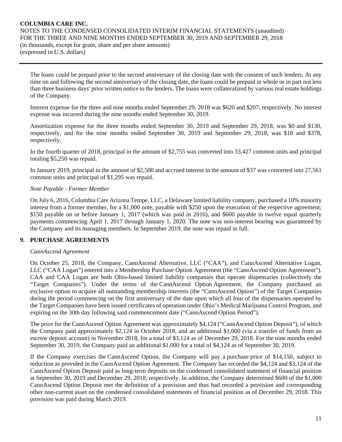The loans could be prepaid prior to the second anniversary of the closing date with the consent of such lenders. At any time on and following the second anniversary of the closing date, the loans could be prepaid in whole or in part not less than three business days' prior written notice to the lenders. The loans were collateralized by various real estate holdings of the Company.

Interest expense for the three and nine months ended September 29, 2018 was \$620 and \$207, respectively. No interest expense was incurred during the nine months ended September 30, 2019.

Amortization expense for the three months ended September 30, 2019 and September 29, 2018, was \$0 and \$130, respectively, and for the nine months ended September 30, 2019 and September 29, 2018, was \$18 and \$378, respectively.

In the fourth quarter of 2018, principal in the amount of \$2,755 was converted into 33,427 common units and principal totaling \$5,250 was repaid.

In January 2019, principal in the amount of \$2,500 and accrued interest in the amount of \$37 was converted into 27,561 common units and principal of \$1,295 was repaid.

#### *Note Payable - Former Member*

On July 6, 2016, Columbia Care Arizona Tempe, LLC, a Delaware limited liability company, purchased a 10% minority interest from a former member, for a \$1,000 note, payable with \$250 upon the execution of the respective agreement; \$150 payable on or before January 1, 2017 (which was paid in 2016), and \$600 payable in twelve equal quarterly payments commencing April 1, 2017 through January 1, 2020. The note was non-interest bearing was guaranteed by the Company and its managing members. In September 2019, the note was repaid in full.

#### **9. PURCHASE AGREEMENTS**

#### *CannAscend Agreement*

On October 25, 2018, the Company, CannAscend Alternative, LLC ("CAA"), and CannAscend Alternative Logan, LLC ("CAA Logan") entered into a Membership Purchase Option Agreement (the "CannAscend Option Agreement"). CAA and CAA Logan are both Ohio-based limited liability companies that operate dispensaries (collectively the "Target Companies"). Under the terms of the CannAscend Option Agreement, the Company purchased an exclusive option to acquire all outstanding membership interests (the "CannAscend Option") of the Target Companies during the period commencing on the first anniversary of the date upon which all four of the dispensaries operated by the Target Companies have been issued certificates of operation under Ohio's Medical Marijuana Control Program, and expiring on the 30th day following said commencement date ("CannAscend Option Period").

The price for the CannAscend Option Agreement was approximately \$4,124 ("CannAscend Option Deposit"), of which the Company paid approximately \$2,124 in October 2018, and an additional \$1,000 (via a transfer of funds from an escrow deposit account) in November 2018, for a total of \$3,124 as of December 29, 2018. For the nine months ended September 30, 2019, the Company paid an additional \$1,000 for a total of \$4,124 as of September 30, 2019.

If the Company exercises the CannAscend Option, the Company will pay a purchase price of \$14,150, subject to reduction as provided in the CannAscend Option Agreement. The Company has recorded the \$4,124 and \$3,124 of the CannAscend Option Deposit paid as long-term deposits on the condensed consolidated statement of financial position at September 30, 2019 and December 29, 2018, respectively. In addition, the Company determined \$600 of the \$1,000 CannAscend Option Deposit met the definition of a provision and thus had recorded a provision and corresponding other non-current asset on the condensed consolidated statements of financial position as of December 29, 2018. This provision was paid during March 2019.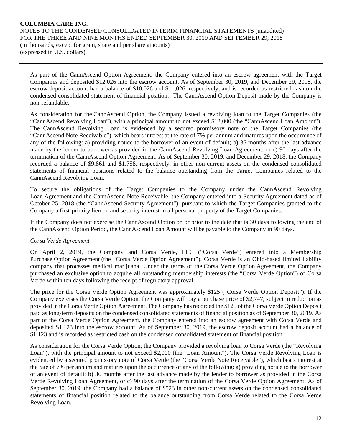As part of the CannAscend Option Agreement, the Company entered into an escrow agreement with the Target Companies and deposited \$12,026 into the escrow account. As of September 30, 2019, and December 29, 2018, the escrow deposit account had a balance of \$10,026 and \$11,026, respectively, and is recorded as restricted cash on the condensed consolidated statement of financial position. The CannAscend Option Deposit made by the Company is non-refundable.

As consideration for the CannAscend Option, the Company issued a revolving loan to the Target Companies (the "CannAscend Revolving Loan"), with a principal amount to not exceed \$13,000 (the "CannAscend Loan Amount"). The CannAscend Revolving Loan is evidenced by a secured promissory note of the Target Companies (the "CannAscend Note Receivable"), which bears interest at the rate of 7% per annum and matures upon the occurrence of any of the following: a) providing notice to the borrower of an event of default; b) 36 months after the last advance made by the lender to borrower as provided in the CannAscend Revolving Loan Agreement, or c) 90 days after the termination of the CannAscend Option Agreement. As of September 30, 2019, and December 29, 2018, the Company recorded a balance of \$9,861 and \$1,758, respectively, in other non-current assets on the condensed consolidated statements of financial positions related to the balance outstanding from the Target Companies related to the CannAscend Revolving Loan.

To secure the obligations of the Target Companies to the Company under the CannAscend Revolving Loan Agreement and the CannAscend Note Receivable, the Company entered into a Security Agreement dated as of October 25, 2018 (the "CannAscend Security Agreement"), pursuant to which the Target Companies granted to the Company a first-priority lien on and security interest in all personal property of the Target Companies.

If the Company does not exercise the CannAscend Option on or prior to the date that is 30 days following the end of the CannAscend Option Period, the CannAscend Loan Amount will be payable to the Company in 90 days.

# *Corsa Verde Agreement*

On April 2, 2019, the Company and Corsa Verde, LLC ("Corsa Verde") entered into a Membership Purchase Option Agreement (the "Corsa Verde Option Agreement"). Corsa Verde is an Ohio-based limited liability company that processes medical marijuana. Under the terms of the Corsa Verde Option Agreement, the Company purchased an exclusive option to acquire all outstanding membership interests (the "Corsa Verde Option") of Corsa Verde within ten days following the receipt of regulatory approval.

The price for the Corsa Verde Option Agreement was approximately \$125 ("Corsa Verde Option Deposit"). If the Company exercises the Corsa Verde Option, the Company will pay a purchase price of \$2,747, subject to reduction as provided in the Corsa Verde Option Agreement. The Company has recorded the \$125 of the Corsa Verde Option Deposit paid as long-term deposits on the condensed consolidated statements of financial position as of September 30, 2019. As part of the Corsa Verde Option Agreement, the Company entered into an escrow agreement with Corsa Verde and deposited \$1,123 into the escrow account. As of September 30, 2019, the escrow deposit account had a balance of \$1,123 and is recorded as restricted cash on the condensed consolidated statement of financial position.

As consideration for the Corsa Verde Option, the Company provided a revolving loan to Corsa Verde (the "Revolving Loan"), with the principal amount to not exceed \$2,000 (the "Loan Amount"). The Corsa Verde Revolving Loan is evidenced by a secured promissory note of Corsa Verde (the "Corsa Verde Note Receivable"), which bears interest at the rate of 7% per annum and matures upon the occurrence of any of the following: a) providing notice to the borrower of an event of default; b) 36 months after the last advance made by the lender to borrower as provided in the Corsa Verde Revolving Loan Agreement, or c) 90 days after the termination of the Corsa Verde Option Agreement. As of September 30, 2019, the Company had a balance of \$523 in other non-current assets on the condensed consolidated statements of financial position related to the balance outstanding from Corsa Verde related to the Corsa Verde Revolving Loan.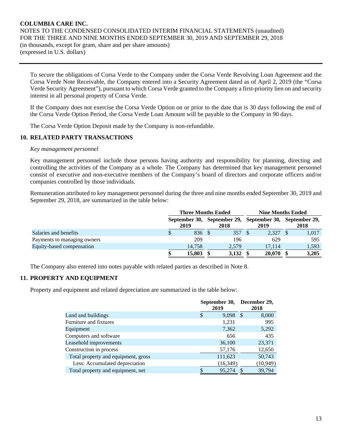To secure the obligations of Corsa Verde to the Company under the Corsa Verde Revolving Loan Agreement and the Corsa Verde Note Receivable, the Company entered into a Security Agreement dated as of April 2, 2019 (the "Corsa Verde Security Agreement"), pursuant to which Corsa Verde granted to the Company a first-priority lien on and security interest in all personal property of Corsa Verde.

If the Company does not exercise the Corsa Verde Option on or prior to the date that is 30 days following the end of the Corsa Verde Option Period, the Corsa Verde Loan Amount will be payable to the Company in 90 days.

The Corsa Verde Option Deposit made by the Company is non-refundable.

### **10. RELATED PARTY TRANSACTIONS**

#### *Key management personnel*

Key management personnel include those persons having authority and responsibility for planning, directing and controlling the activities of the Company as a whole. The Company has determined that key management personnel consist of executive and non-executive members of the Company's board of directors and corporate officers and/or companies controlled by those individuals.

Remuneration attributed to key management personnel during the three and nine months ended September 30, 2019 and September 29, 2018, are summarized in the table below:

|                             |   | <b>Three Months Ended</b> |                                                                 |        |      | <b>Nine Months Ended</b> |  |       |  |
|-----------------------------|---|---------------------------|-----------------------------------------------------------------|--------|------|--------------------------|--|-------|--|
|                             |   | 2019                      | September 30, September 29, September 30, September 29,<br>2018 |        | 2019 |                          |  | 2018  |  |
| Salaries and benefits       | Ф | 836 \$                    |                                                                 | 357 \$ |      | 2.327 \$                 |  | 1,017 |  |
| Payments to managing owners |   | 209                       |                                                                 | 196    |      | 629                      |  | 595   |  |
| Equity-based compensation   |   | 14.758                    |                                                                 | 2.579  |      | 17.114                   |  | 1,593 |  |
|                             |   | 15,803                    |                                                                 | 3.132  |      | 20,070                   |  | 3.205 |  |

The Company also entered into notes payable with related parties as described in Note 8.

# **11. PROPERTY AND EQUIPMENT**

Property and equipment and related depreciation are summarized in the table below:

|                                     | September 30,<br>2019 | December 29,<br>2018  |
|-------------------------------------|-----------------------|-----------------------|
| Land and buildings                  | \$                    | 9,098<br>8,000<br>-8  |
| Furniture and fixtures              |                       | 995<br>1,231          |
| Equipment                           |                       | 5,292<br>7,362        |
| Computers and software              |                       | 435<br>656            |
| Leasehold improvements              |                       | 36,100<br>23,371      |
| Construction in process             |                       | 12,650<br>57,176      |
| Total property and equipment, gross | 111,623               | 50,743                |
| Less: Accumulated depreciation      |                       | (10, 949)<br>(16,349) |
| Total property and equipment, net   | \$                    | 39,794<br>95,274      |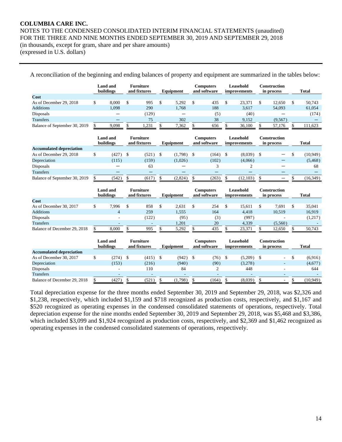NOTES TO THE CONDENSED CONSOLIDATED INTERIM FINANCIAL STATEMENTS (unaudited) FOR THE THREE AND NINE MONTHS ENDED SEPTEMBER 30, 2019 AND SEPTEMBER 29, 2018

(in thousands, except for gram, share and per share amounts) (expressed in U.S. dollars)

|                                 | <b>Land</b> and<br>buildings |               | <b>Furniture</b><br>and fixtures |                    | Equipment                |     | <b>Computers</b><br>and software | Leasehold<br>improvements        |                    | <b>Construction</b><br>in process |                    | <b>Total</b> |
|---------------------------------|------------------------------|---------------|----------------------------------|--------------------|--------------------------|-----|----------------------------------|----------------------------------|--------------------|-----------------------------------|--------------------|--------------|
| Cost                            |                              |               |                                  |                    |                          |     |                                  |                                  |                    |                                   |                    |              |
| As of December 29, 2018         | \$<br>8.000                  | \$            | 995                              | \$                 | 5,292                    | \$  | 435                              | \$<br>23,371                     | \$                 | 12,650                            | \$                 | 50.743       |
| <b>Additions</b>                | 1.098                        |               | 290                              |                    | 1,768                    |     | 188                              | 3.617                            |                    | 54,093                            |                    | 61,054       |
| Disposals                       | —                            |               | (129)                            |                    | $\overline{\phantom{0}}$ |     | (5)                              | (40)                             |                    |                                   |                    | (174)        |
| <b>Transfers</b>                |                              |               | 75                               |                    | 302                      |     | 38                               | 9,152                            |                    | (9,567)                           |                    |              |
| Balance of September 30, 2019   | \$<br>9,098                  |               | 1,231                            | \$                 | 7,362                    | \$  | 656                              | \$<br>36,100                     |                    | 57,176                            | \$                 | 111,623      |
|                                 | <b>Land</b> and<br>buildings |               | <b>Furniture</b><br>and fixtures |                    | Equipment                |     | <b>Computers</b><br>and software | Leasehold<br><i>improvements</i> |                    | <b>Construction</b><br>in process |                    | <b>Total</b> |
| <b>Accumulated depreciation</b> |                              |               |                                  |                    |                          |     |                                  |                                  |                    |                                   |                    |              |
| As of December 29, 2018         | \$<br>(427)                  | $\mathcal{S}$ | (521)                            | \$                 | (1,798)                  | -\$ | (164)                            | \$<br>(8,039)                    | $\mathcal{S}$      |                                   | \$                 | (10, 949)    |
| Depreciation                    | (115)                        |               | (159)                            |                    | (1,026)                  |     | (102)                            | (4,066)                          |                    |                                   |                    | (5, 468)     |
| Disposals                       |                              |               | 63                               |                    |                          |     | 3                                | $\overline{c}$                   |                    |                                   |                    | 68           |
| <b>Transfers</b>                |                              |               |                                  |                    |                          |     |                                  |                                  |                    |                                   |                    |              |
| Balance of September 30, 2019   | \$<br>(542)                  | \$            | (617)                            | \$.                | (2,824)                  | \$  | (263)                            | \$<br>(12, 103)                  | \$                 |                                   | \$                 | (16, 349)    |
|                                 | <b>Land</b> and<br>buildings |               | <b>Furniture</b><br>and fixtures |                    | Equipment                |     | <b>Computers</b><br>and software | Leasehold<br>improvements        |                    | <b>Construction</b><br>in process |                    | <b>Total</b> |
| Cost                            |                              |               |                                  |                    |                          |     |                                  |                                  |                    |                                   |                    |              |
| As of December 30, 2017         | \$<br>7.996                  | \$            | 858                              | \$                 | 2,631                    | \$  | 254                              | \$<br>15.611                     | \$                 | 7,691                             | \$                 | 35.041       |
| <b>Additions</b>                | $\overline{4}$               |               | 259                              |                    | 1.555                    |     | 164                              | 4.418                            |                    | 10.519                            |                    | 16.919       |
| Disposals                       |                              |               | (122)                            |                    | (95)                     |     | (3)                              | (997)                            |                    |                                   |                    | (1,217)      |
| <b>Transfers</b>                |                              |               | $\overline{a}$                   |                    | 1,201                    |     | 20                               | 4,339                            |                    | (5,560)                           |                    |              |
| Balance of December 29, 2018    | \$<br>8.000                  | \$            | 995                              | $\mathbf{\hat{S}}$ | 5,292                    | \$  | 435                              | \$<br>23,371                     | $\mathbf{\hat{S}}$ | 12,650                            | $\mathbf{\hat{S}}$ | 50,743       |
|                                 | Land and<br>buildings        |               | <b>Furniture</b><br>and fixtures |                    | Equipment                |     | <b>Computers</b><br>and software | <b>Leasehold</b><br>improvements |                    | <b>Construction</b><br>in process |                    | <b>Total</b> |
| <b>Accumulated depreciation</b> |                              |               |                                  |                    |                          |     |                                  |                                  |                    |                                   |                    |              |
| As of December 30, 2017         | \$<br>(274)                  | $\mathbb{S}$  | (415)                            | \$                 | (942)                    | -\$ | (76)                             | \$<br>$(5,209)$ \$               |                    |                                   | \$                 | (6,916)      |
| Depreciation                    | (153)                        |               | (216)                            |                    | (940)                    |     | (90)                             | (3,278)                          |                    |                                   |                    | (4,677)      |
| Disposals                       |                              |               | 110                              |                    | 84                       |     | $\overline{2}$                   | 448                              |                    |                                   |                    | 644          |
| <b>Transfers</b>                |                              |               |                                  |                    |                          |     |                                  |                                  |                    |                                   |                    |              |

A reconciliation of the beginning and ending balances of property and equipment are summarized in the tables below:

Total depreciation expense for the three months ended September 30, 2019 and September 29, 2018, was \$2,326 and \$1,238, respectively, which included \$1,159 and \$718 recognized as production costs, respectively, and \$1,167 and \$520 recognized as operating expenses in the condensed consolidated statements of operations, respectively. Total depreciation expense for the nine months ended September 30, 2019 and September 29, 2018, was \$5,468 and \$3,386, which included \$3,099 and \$1,924 recognized as production costs, respectively, and \$2,369 and \$1,462 recognized as operating expenses in the condensed consolidated statements of operations, respectively.

Balance of December 29, 2018 \$ (427) \$ (521) \$ (1,798) \$ (164) \$ (8,039) \$ - \$ (10,949)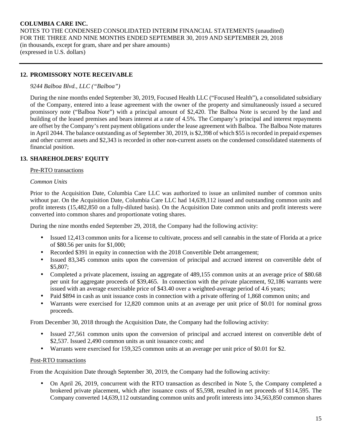# **12. PROMISSORY NOTE RECEIVABLE**

### *9244 Balboa Blvd., LLC ("Balboa")*

During the nine months ended September 30, 2019, Focused Health LLC ("Focused Health"), a consolidated subsidiary of the Company, entered into a lease agreement with the owner of the property and simultaneously issued a secured promissory note ("Balboa Note") with a principal amount of \$2,420. The Balboa Note is secured by the land and building of the leased premises and bears interest at a rate of 4.5%. The Company's principal and interest repayments are offset by the Company's rent payment obligations under the lease agreement with Balboa. The Balboa Note matures in April 2044. The balance outstanding as of September 30, 2019, is \$2,398 of which \$55 is recorded in prepaid expenses and other current assets and \$2,343 is recorded in other non-current assets on the condensed consolidated statements of financial position.

### **13. SHAREHOLDERS' EQUITY**

#### Pre-RTO transactions

#### *Common Units*

Prior to the Acquisition Date, Columbia Care LLC was authorized to issue an unlimited number of common units without par. On the Acquisition Date, Columbia Care LLC had 14,639,112 issued and outstanding common units and profit interests (15,482,850 on a fully-diluted basis). On the Acquisition Date common units and profit interests were converted into common shares and proportionate voting shares.

During the nine months ended September 29, 2018, the Company had the following activity:

- Issued 12,413 common units for a license to cultivate, process and sell cannabis in the state of Florida at a price of \$80.56 per units for \$1,000;
- Recorded \$391 in equity in connection with the 2018 Convertible Debt arrangement;
- Issued 83,345 common units upon the conversion of principal and accrued interest on convertible debt of \$5,807;
- Completed a private placement, issuing an aggregate of 489,155 common units at an average price of \$80.68 per unit for aggregate proceeds of \$39,465. In connection with the private placement, 92,186 warrants were issued with an average exercisable price of \$43.40 over a weighted-average period of 4.6 years;
- Paid \$894 in cash as unit issuance costs in connection with a private offering of 1,868 common units; and
- Warrants were exercised for 12,820 common units at an average per unit price of \$0.01 for nominal gross proceeds.

From December 30, 2018 through the Acquisition Date, the Company had the following activity:

- Issued 27,561 common units upon the conversion of principal and accrued interest on convertible debt of \$2,537. Issued 2,490 common units as unit issuance costs; and
- Warrants were exercised for 159,325 common units at an average per unit price of \$0.01 for \$2.

#### Post-RTO transactions

From the Acquisition Date through September 30, 2019, the Company had the following activity:

• On April 26, 2019, concurrent with the RTO transaction as described in Note 5, the Company completed a brokered private placement, which after issuance costs of \$5,598, resulted in net proceeds of \$114,595. The Company converted 14,639,112 outstanding common units and profit interests into 34,563,850 common shares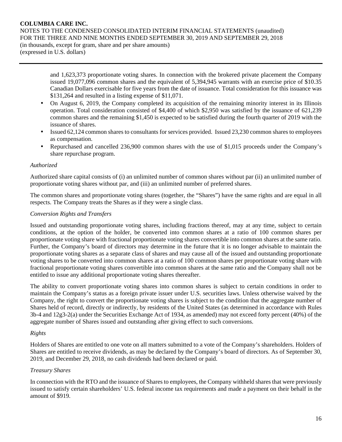NOTES TO THE CONDENSED CONSOLIDATED INTERIM FINANCIAL STATEMENTS (unaudited) FOR THE THREE AND NINE MONTHS ENDED SEPTEMBER 30, 2019 AND SEPTEMBER 29, 2018

(in thousands, except for gram, share and per share amounts) (expressed in U.S. dollars)

> and 1,623,373 proportionate voting shares. In connection with the brokered private placement the Company issued 19,077,096 common shares and the equivalent of 5,394,945 warrants with an exercise price of \$10.35 Canadian Dollars exercisable for five years from the date of issuance. Total consideration for this issuance was \$131,264 and resulted in a listing expense of \$11,071.

- On August 6, 2019, the Company completed its acquisition of the remaining minority interest in its Illinois operation. Total consideration consisted of \$4,400 of which \$2,950 was satisfied by the issuance of 621,239 common shares and the remaining \$1,450 is expected to be satisfied during the fourth quarter of 2019 with the issuance of shares.
- Issued 62,124 common shares to consultants for services provided. Issued 23,230 common shares to employees as compensation.
- Repurchased and cancelled 236,900 common shares with the use of \$1,015 proceeds under the Company's share repurchase program.

#### *Authorized*

Authorized share capital consists of (i) an unlimited number of common shares without par (ii) an unlimited number of proportionate voting shares without par, and (iii) an unlimited number of preferred shares.

The common shares and proportionate voting shares (together, the "Shares") have the same rights and are equal in all respects. The Company treats the Shares as if they were a single class.

#### *Conversion Rights and Transfers*

Issued and outstanding proportionate voting shares, including fractions thereof, may at any time, subject to certain conditions, at the option of the holder, be converted into common shares at a ratio of 100 common shares per proportionate voting share with fractional proportionate voting shares convertible into common shares at the same ratio. Further, the Company's board of directors may determine in the future that it is no longer advisable to maintain the proportionate voting shares as a separate class of shares and may cause all of the issued and outstanding proportionate voting shares to be converted into common shares at a ratio of 100 common shares per proportionate voting share with fractional proportionate voting shares convertible into common shares at the same ratio and the Company shall not be entitled to issue any additional proportionate voting shares thereafter.

The ability to convert proportionate voting shares into common shares is subject to certain conditions in order to maintain the Company's status as a foreign private issuer under U.S. securities laws. Unless otherwise waived by the Company, the right to convert the proportionate voting shares is subject to the condition that the aggregate number of Shares held of record, directly or indirectly, by residents of the United States (as determined in accordance with Rules 3b-4 and 12g3-2(a) under the Securities Exchange Act of 1934, as amended) may not exceed forty percent (40%) of the aggregate number of Shares issued and outstanding after giving effect to such conversions.

#### *Rights*

Holders of Shares are entitled to one vote on all matters submitted to a vote of the Company's shareholders. Holders of Shares are entitled to receive dividends, as may be declared by the Company's board of directors. As of September 30, 2019, and December 29, 2018, no cash dividends had been declared or paid.

#### *Treasury Shares*

In connection with the RTO and the issuance of Shares to employees, the Company withheld shares that were previously issued to satisfy certain shareholders' U.S. federal income tax requirements and made a payment on their behalf in the amount of \$919.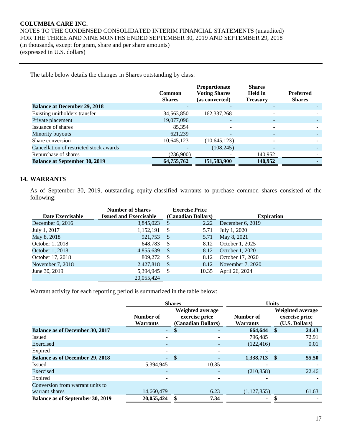NOTES TO THE CONDENSED CONSOLIDATED INTERIM FINANCIAL STATEMENTS (unaudited) FOR THE THREE AND NINE MONTHS ENDED SEPTEMBER 30, 2019 AND SEPTEMBER 29, 2018 (in thousands, except for gram, share and per share amounts) (expressed in U.S. dollars)

The table below details the changes in Shares outstanding by class:

|                                         | Common<br><b>Shares</b> | <b>Proportionate</b><br><b>Voting Shares</b><br>(as converted) | <b>Shares</b><br><b>Held</b> in<br><b>Treasury</b> | <b>Preferred</b><br><b>Shares</b> |
|-----------------------------------------|-------------------------|----------------------------------------------------------------|----------------------------------------------------|-----------------------------------|
| <b>Balance at December 29, 2018</b>     |                         |                                                                | $\overline{\phantom{0}}$                           |                                   |
| Existing unitholders transfer           | 34,563,850              | 162, 337, 268                                                  | ۰                                                  |                                   |
| Private placement                       | 19,077,096              |                                                                |                                                    |                                   |
| Issuance of shares                      | 85,354                  |                                                                | $\qquad \qquad \blacksquare$                       |                                   |
| Minority buyouts                        | 621.239                 |                                                                | $\overline{\phantom{0}}$                           |                                   |
| Share conversion                        | 10,645,123              | (10, 645, 123)                                                 |                                                    |                                   |
| Cancellation of restricted stock awards |                         | (108, 245)                                                     | $\overline{\phantom{0}}$                           |                                   |
| Repurchase of shares                    | (236,900)               |                                                                | 140,952                                            |                                   |
| <b>Balance at September 30, 2019</b>    | 64,755,762              | 151,583,900                                                    | 140,952                                            |                                   |

# **14. WARRANTS**

As of September 30, 2019, outstanding equity-classified warrants to purchase common shares consisted of the following:

|                         | <b>Number of Shares</b>       | <b>Exercise Price</b> |       |                   |
|-------------------------|-------------------------------|-----------------------|-------|-------------------|
| <b>Date Exercisable</b> | <b>Issued and Exercisable</b> | (Canadian Dollars)    |       | <b>Expiration</b> |
| December 6, $2016$      | 3,845,023                     | <sup>\$</sup>         | 2.22  | December 6, 2019  |
| July 1, 2017            | 1,152,191                     | \$                    | 5.71  | July 1, 2020      |
| May 8, 2018             | 921,753                       | <sup>\$</sup>         | 5.71  | May 8, 2021       |
| October 1, 2018         | 648,783                       | S                     | 8.12  | October 1, 2025   |
| October 1, 2018         | 4,855,639                     | <sup>\$</sup>         | 8.12  | October 1, 2020   |
| October 17, 2018        | 809,272                       | S                     | 8.12  | October 17, 2020  |
| November 7, 2018        | 2,427,818                     | <sup>\$</sup>         | 8.12  | November 7, 2020  |
| June 30, 2019           | 5,394,945                     | S                     | 10.35 | April 26, 2024    |
|                         | 20.055.424                    |                       |       |                   |

Warrant activity for each reporting period is summarized in the table below:

|                                         | <b>Shares</b>                |              |                                                          |                              | <b>Units</b> |                                                             |  |  |
|-----------------------------------------|------------------------------|--------------|----------------------------------------------------------|------------------------------|--------------|-------------------------------------------------------------|--|--|
|                                         | Number of<br><b>Warrants</b> |              | Weighted average<br>exercise price<br>(Canadian Dollars) | Number of<br><b>Warrants</b> |              | <b>Weighted average</b><br>exercise price<br>(U.S. Dollars) |  |  |
| <b>Balance as of December 30, 2017</b>  | $\sim$                       | \$           | ۰                                                        | 664,644                      | -S           | 24.43                                                       |  |  |
| <b>Issued</b>                           |                              |              |                                                          | 796.485                      |              | 72.91                                                       |  |  |
| Exercised                               |                              |              |                                                          | (122, 416)                   |              | 0.01                                                        |  |  |
| Expired                                 |                              |              |                                                          |                              |              |                                                             |  |  |
| <b>Balance as of December 29, 2018</b>  | $\omega$ .                   | $\mathbf{s}$ |                                                          | 1,338,713                    | $\mathbf{s}$ | 55.50                                                       |  |  |
| Issued                                  | 5,394,945                    |              | 10.35                                                    |                              |              |                                                             |  |  |
| Exercised                               | $\overline{\phantom{0}}$     |              |                                                          | (210, 858)                   |              | 22.46                                                       |  |  |
| Expired                                 |                              |              |                                                          |                              |              |                                                             |  |  |
| Conversion from warrant units to        |                              |              |                                                          |                              |              |                                                             |  |  |
| warrant shares                          | 14,660,479                   |              | 6.23                                                     | (1,127,855)                  |              | 61.63                                                       |  |  |
| <b>Balance as of September 30, 2019</b> | 20,055,424                   |              | 7.34                                                     |                              |              |                                                             |  |  |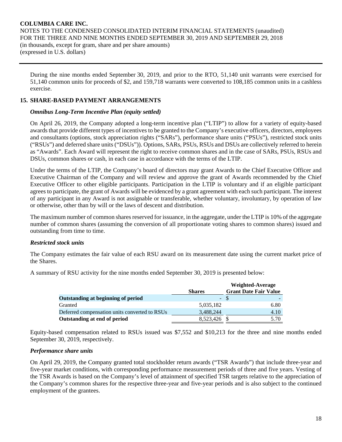During the nine months ended September 30, 2019, and prior to the RTO, 51,140 unit warrants were exercised for 51,140 common units for proceeds of \$2, and 159,718 warrants were converted to 108,185 common units in a cashless exercise.

# **15. SHARE-BASED PAYMENT ARRANGEMENTS**

# *Omnibus Long-Term Incentive Plan (equity settled)*

On April 26, 2019, the Company adopted a long-term incentive plan ("LTIP") to allow for a variety of equity-based awards that provide different types of incentives to be granted to the Company's executive officers, directors, employees and consultants (options, stock appreciation rights ("SARs"), performance share units ("PSUs"), restricted stock units ("RSUs") and deferred share units ("DSUs")). Options, SARs, PSUs, RSUs and DSUs are collectively referred to herein as "Awards". Each Award will represent the right to receive common shares and in the case of SARs, PSUs, RSUs and DSUs, common shares or cash, in each case in accordance with the terms of the LTIP.

Under the terms of the LTIP, the Company's board of directors may grant Awards to the Chief Executive Officer and Executive Chairman of the Company and will review and approve the grant of Awards recommended by the Chief Executive Officer to other eligible participants. Participation in the LTIP is voluntary and if an eligible participant agrees to participate, the grant of Awards will be evidenced by a grant agreement with each such participant. The interest of any participant in any Award is not assignable or transferable, whether voluntary, involuntary, by operation of law or otherwise, other than by will or the laws of descent and distribution.

The maximum number of common shares reserved for issuance, in the aggregate, under the LTIP is 10% of the aggregate number of common shares (assuming the conversion of all proportionate voting shares to common shares) issued and outstanding from time to time.

# *Restricted stock units*

The Company estimates the fair value of each RSU award on its measurement date using the current market price of the Shares.

A summary of RSU activity for the nine months ended September 30, 2019 is presented below:

|                                               |               | Weighted-Average             |
|-----------------------------------------------|---------------|------------------------------|
|                                               | <b>Shares</b> | <b>Grant Date Fair Value</b> |
| Outstanding at beginning of period            |               | - \$                         |
| Granted                                       | 5,035,182     | 6.80                         |
| Deferred compensation units converted to RSUs | 3,488,244     | 4.10                         |
| Outstanding at end of period                  | 8,523,426     | 5.70                         |

Equity-based compensation related to RSUs issued was \$7,552 and \$10,213 for the three and nine months ended September 30, 2019, respectively.

# *Performance share units*

On April 29, 2019, the Company granted total stockholder return awards ("TSR Awards") that include three-year and five-year market conditions, with corresponding performance measurement periods of three and five years. Vesting of the TSR Awards is based on the Company's level of attainment of specified TSR targets relative to the appreciation of the Company's common shares for the respective three-year and five-year periods and is also subject to the continued employment of the grantees.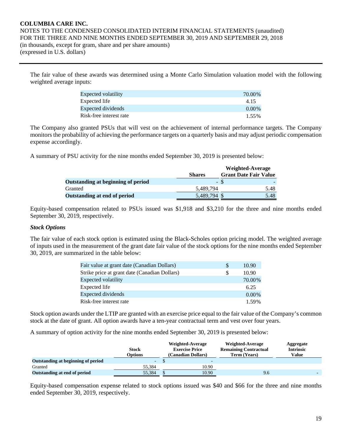The fair value of these awards was determined using a Monte Carlo Simulation valuation model with the following weighted average inputs:

| Expected volatility     | 70.00%   |
|-------------------------|----------|
| Expected life           | 4.15     |
| Expected dividends      | $0.00\%$ |
| Risk-free interest rate | 1.55%    |

The Company also granted PSUs that will vest on the achievement of internal performance targets. The Company monitors the probability of achieving the performance targets on a quarterly basis and may adjust periodic compensation expense accordingly.

A summary of PSU activity for the nine months ended September 30, 2019 is presented below:

|                                    |               | Weighted-Average             |
|------------------------------------|---------------|------------------------------|
|                                    | <b>Shares</b> | <b>Grant Date Fair Value</b> |
| Outstanding at beginning of period |               | - \$                         |
| Granted                            | 5.489.794     | 5.48                         |
| Outstanding at end of period       | 5,489,794 \$  | 5.48                         |

Equity-based compensation related to PSUs issued was \$1,918 and \$3,210 for the three and nine months ended September 30, 2019, respectively.

#### *Stock Options*

The fair value of each stock option is estimated using the Black-Scholes option pricing model. The weighted average of inputs used in the measurement of the grant date fair value of the stock options for the nine months ended September 30, 2019, are summarized in the table below:

| Fair value at grant date (Canadian Dollars)   | <sup>2</sup> | 10.90    |
|-----------------------------------------------|--------------|----------|
| Strike price at grant date (Canadian Dollars) | S            | 10.90    |
| Expected volatility                           |              | 70.00%   |
| Expected life                                 |              | 6.25     |
| Expected dividends                            |              | $0.00\%$ |
| Risk-free interest rate                       |              | 1.59%    |

Stock option awards under the LTIP are granted with an exercise price equal to the fair value of the Company's common stock at the date of grant. All option awards have a ten-year contractual term and vest over four years.

A summary of option activity for the nine months ended September 30, 2019 is presented below:

|                                    | <b>Stock</b><br>Options | Weighted-Average<br><b>Exercise Price</b><br>(Canadian Dollars) | Weighted-Average<br><b>Remaining Contractual</b><br>Term (Years) | Aggregate<br><b>Intrinsic</b><br><b>Value</b> |
|------------------------------------|-------------------------|-----------------------------------------------------------------|------------------------------------------------------------------|-----------------------------------------------|
| Outstanding at beginning of period | -                       | $\overline{\phantom{a}}$                                        |                                                                  |                                               |
| Granted                            | 55.384                  | 10.90                                                           |                                                                  |                                               |
| Outstanding at end of period       | 55.384                  | 10.90                                                           | 9.6                                                              |                                               |

Equity-based compensation expense related to stock options issued was \$40 and \$66 for the three and nine months ended September 30, 2019, respectively.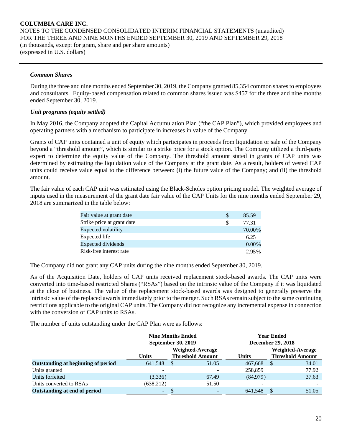#### *Common Shares*

During the three and nine months ended September 30, 2019, the Company granted 85,354 common shares to employees and consultants. Equity-based compensation related to common shares issued was \$457 for the three and nine months ended September 30, 2019.

### *Unit programs (equity settled)*

In May 2016, the Company adopted the Capital Accumulation Plan ("the CAP Plan"), which provided employees and operating partners with a mechanism to participate in increases in value of the Company.

Grants of CAP units contained a unit of equity which participates in proceeds from liquidation or sale of the Company beyond a "threshold amount", which is similar to a strike price for a stock option. The Company utilized a third-party expert to determine the equity value of the Company. The threshold amount stated in grants of CAP units was determined by estimating the liquidation value of the Company at the grant date. As a result, holders of vested CAP units could receive value equal to the difference between: (i) the future value of the Company; and (ii) the threshold amount.

The fair value of each CAP unit was estimated using the Black-Scholes option pricing model. The weighted average of inputs used in the measurement of the grant date fair value of the CAP Units for the nine months ended September 29, 2018 are summarized in the table below:

| Fair value at grant date   | S | 85.59    |
|----------------------------|---|----------|
| Strike price at grant date | S | 77.31    |
| <b>Expected volatility</b> |   | 70.00%   |
| Expected life              |   | 6.25     |
| <b>Expected dividends</b>  |   | $0.00\%$ |
| Risk-free interest rate    |   | 2.95%    |

The Company did not grant any CAP units during the nine months ended September 30, 2019.

As of the Acquisition Date, holders of CAP units received replacement stock-based awards. The CAP units were converted into time-based restricted Shares ("RSAs") based on the intrinsic value of the Company if it was liquidated at the close of business. The value of the replacement stock-based awards was designed to generally preserve the intrinsic value of the replaced awards immediately prior to the merger. Such RSAs remain subject to the same continuing restrictions applicable to the original CAP units. The Company did not recognize any incremental expense in connection with the conversion of CAP units to RSAs.

The number of units outstanding under the CAP Plan were as follows:

|                                    | <b>Nine Months Ended</b><br><b>September 30, 2019</b> |    |                                             | <b>Year Ended</b><br><b>December 29, 2018</b> |     |                                             |
|------------------------------------|-------------------------------------------------------|----|---------------------------------------------|-----------------------------------------------|-----|---------------------------------------------|
|                                    | <b>Units</b>                                          |    | Weighted-Average<br><b>Threshold Amount</b> | <b>Units</b>                                  |     | Weighted-Average<br><b>Threshold Amount</b> |
| Outstanding at beginning of period | 641,548                                               | \$ | 51.05                                       | 467,668                                       | -\$ | 34.01                                       |
| Units granted                      |                                                       |    |                                             | 258,859                                       |     | 77.92                                       |
| Units forfeited                    | (3,336)                                               |    | 67.49                                       | (84,979)                                      |     | 37.63                                       |
| Units converted to RSAs            | (638, 212)                                            |    | 51.50                                       |                                               |     |                                             |
| Outstanding at end of period       | ۰.                                                    |    |                                             | 641,548                                       |     | 51.05                                       |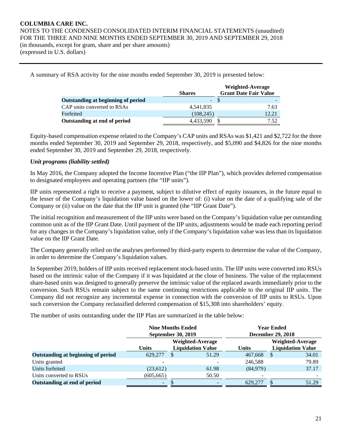A summary of RSA activity for the nine months ended September 30, 2019 is presented below:

|                                    |               | Weighted-Average             |
|------------------------------------|---------------|------------------------------|
|                                    | <b>Shares</b> | <b>Grant Date Fair Value</b> |
| Outstanding at beginning of period | - \$          |                              |
| CAP units converted to RSAs        | 4,541,835     | 7.63                         |
| Forfeited                          | (108, 245)    | 12.21                        |
| Outstanding at end of period       | 4,433,590     | 7.52                         |

Equity-based compensation expense related to the Company's CAP units and RSAs was \$1,421 and \$2,722 for the three months ended September 30, 2019 and September 29, 2018, respectively, and \$5,090 and \$4,826 for the nine months ended September 30, 2019 and September 29, 2018, respectively.

# *Unit programs (liability settled)*

In May 2016, the Company adopted the Income Incentive Plan ("the IIP Plan"), which provides deferred compensation to designated employees and operating partners (the "IIP units").

IIP units represented a right to receive a payment, subject to dilutive effect of equity issuances, in the future equal to the lesser of the Company's liquidation value based on the lower of: (i) value on the date of a qualifying sale of the Company or (ii) value on the date that the IIP unit is granted (the "IIP Grant Date").

The initial recognition and measurement of the IIP units were based on the Company's liquidation value per outstanding common unit as of the IIP Grant Date. Until payment of the IIP units, adjustments would be made each reporting period for any changes in the Company's liquidation value, only if the Company's liquidation value was less than its liquidation value on the IIP Grant Date.

The Company generally relied on the analyses performed by third-party experts to determine the value of the Company, in order to determine the Company's liquidation values.

In September 2019, holders of IIP units received replacement stock-based units. The IIP units were converted into RSUs based on the intrinsic value of the Company if it was liquidated at the close of business. The value of the replacement share-based units was designed to generally preserve the intrinsic value of the replaced awards immediately prior to the conversion. Such RSUs remain subject to the same continuing restrictions applicable to the original IIP units. The Company did not recognize any incremental expense in connection with the conversion of IIP units to RSUs. Upon such conversion the Company reclassified deferred compensation of \$15,308 into shareholders' equity.

The number of units outstanding under the IIP Plan are summarized in the table below:

|                                    | <b>Nine Months Ended</b><br><b>September 30, 2019</b> |                          |       | <b>Year Ended</b><br><b>December 29, 2018</b> |                          |       |  |  |
|------------------------------------|-------------------------------------------------------|--------------------------|-------|-----------------------------------------------|--------------------------|-------|--|--|
|                                    | Weighted-Average                                      |                          |       | Weighted-Average                              |                          |       |  |  |
|                                    | <b>Units</b>                                          | <b>Liquidation Value</b> |       | <b>Units</b>                                  | <b>Liquidation Value</b> |       |  |  |
| Outstanding at beginning of period | 629,277                                               | \$                       | 51.29 | 467,668                                       | S                        | 34.01 |  |  |
| Units granted                      |                                                       |                          |       | 246,588                                       |                          | 79.89 |  |  |
| Units forfeited                    | (23,612)                                              |                          | 61.98 | (84,979)                                      |                          | 37.17 |  |  |
| Units converted to RSUs            | (605, 665)                                            |                          | 50.50 | $\overline{\phantom{0}}$                      |                          |       |  |  |
| Outstanding at end of period       | ۰.                                                    |                          |       | 629,277                                       |                          | 51.29 |  |  |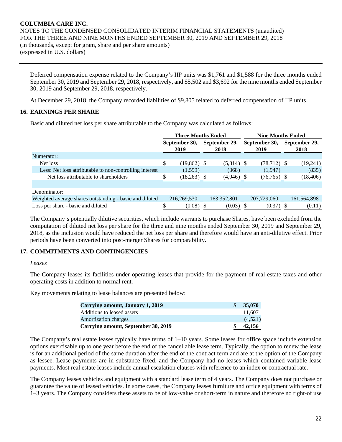Deferred compensation expense related to the Company's IIP units was \$1,761 and \$1,588 for the three months ended September 30, 2019 and September 29, 2018, respectively, and \$5,502 and \$3,692 for the nine months ended September 30, 2019 and September 29, 2018, respectively.

At December 29, 2018, the Company recorded liabilities of \$9,805 related to deferred compensation of IIP units.

# **16. EARNINGS PER SHARE**

Basic and diluted net loss per share attributable to the Company was calculated as follows:

|                                                         | <b>Three Months Ended</b> |               |               | <b>Nine Months Ended</b> |               |                |               |               |
|---------------------------------------------------------|---------------------------|---------------|---------------|--------------------------|---------------|----------------|---------------|---------------|
|                                                         | September 30,             |               | September 29, |                          | September 30, |                | September 29, |               |
|                                                         |                           | 2019          |               | 2018                     |               | 2019           |               | 2018          |
| Numerator:                                              |                           |               |               |                          |               |                |               |               |
| Net loss                                                | \$                        | $(19,862)$ \$ |               | $(5,314)$ \$             |               | $(78, 712)$ \$ |               | (19,241)      |
| Less: Net loss attributable to non-controlling interest |                           | (1,599)       |               | (368)                    |               | (1,947)        |               | (835)         |
| Net loss attributable to shareholders                   |                           | (18, 263)     |               | (4,946)                  |               | (76, 765)      |               | 18,406)       |
|                                                         |                           |               |               |                          |               |                |               |               |
| Denominator:                                            |                           |               |               |                          |               |                |               |               |
| Weighted average shares outstanding - basic and diluted |                           | 216,269,530   |               | 163, 352, 801            |               | 207,729,060    |               | 161, 564, 898 |
| Loss per share - basic and diluted                      |                           | (0.08)        |               | (0.03)                   |               | (0.37)         |               | (0.11)        |

The Company's potentially dilutive securities, which include warrants to purchase Shares, have been excluded from the computation of diluted net loss per share for the three and nine months ended September 30, 2019 and September 29, 2018, as the inclusion would have reduced the net loss per share and therefore would have an anti-dilutive effect. Prior periods have been converted into post-merger Shares for comparability.

# **17. COMMITMENTS AND CONTINGENCIES**

#### *Leases*

The Company leases its facilities under operating leases that provide for the payment of real estate taxes and other operating costs in addition to normal rent.

Key movements relating to lease balances are presented below:

| Carrying amount, January 1, 2019    | 35,070  |
|-------------------------------------|---------|
| Additions to leased assets          | 11.607  |
| <b>Amortization charges</b>         | (4.521) |
| Carrying amount, September 30, 2019 | 42,156  |

The Company's real estate leases typically have terms of 1–10 years. Some leases for office space include extension options exercisable up to one year before the end of the cancellable lease term. Typically, the option to renew the lease is for an additional period of the same duration after the end of the contract term and are at the option of the Company as lessee. Lease payments are in substance fixed, and the Company had no leases which contained variable lease payments. Most real estate leases include annual escalation clauses with reference to an index or contractual rate.

The Company leases vehicles and equipment with a standard lease term of 4 years. The Company does not purchase or guarantee the value of leased vehicles. In some cases, the Company leases furniture and office equipment with terms of 1–3 years. The Company considers these assets to be of low-value or short-term in nature and therefore no right-of use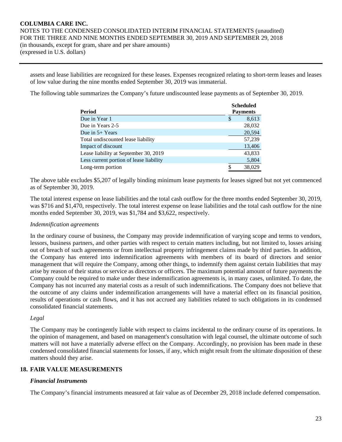assets and lease liabilities are recognized for these leases. Expenses recognized relating to short-term leases and leases of low value during the nine months ended September 30, 2019 was immaterial.

The following table summarizes the Company's future undiscounted lease payments as of September 30, 2019.

|                                         | <b>Scheduled</b> |
|-----------------------------------------|------------------|
| Period                                  | <b>Payments</b>  |
| Due in Year 1                           | S<br>8,613       |
| Due in Years 2-5                        | 28,032           |
| Due in $5+$ Years                       | 20,594           |
| Total undiscounted lease liability      | 57,239           |
| Impact of discount                      | 13,406           |
| Lease liability at September 30, 2019   | 43,833           |
| Less current portion of lease liability | 5,804            |
| Long-term portion                       | 38,029<br>\$     |

The above table excludes \$5,207 of legally binding minimum lease payments for leases signed but not yet commenced as of September 30, 2019.

The total interest expense on lease liabilities and the total cash outflow for the three months ended September 30, 2019, was \$716 and \$1,470, respectively. The total interest expense on lease liabilities and the total cash outflow for the nine months ended September 30, 2019, was \$1,784 and \$3,622, respectively.

#### *Indemnification agreements*

In the ordinary course of business, the Company may provide indemnification of varying scope and terms to vendors, lessors, business partners, and other parties with respect to certain matters including, but not limited to, losses arising out of breach of such agreements or from intellectual property infringement claims made by third parties. In addition, the Company has entered into indemnification agreements with members of its board of directors and senior management that will require the Company, among other things, to indemnify them against certain liabilities that may arise by reason of their status or service as directors or officers. The maximum potential amount of future payments the Company could be required to make under these indemnification agreements is, in many cases, unlimited. To date, the Company has not incurred any material costs as a result of such indemnifications. The Company does not believe that the outcome of any claims under indemnification arrangements will have a material effect on its financial position, results of operations or cash flows, and it has not accrued any liabilities related to such obligations in its condensed consolidated financial statements.

#### *Legal*

The Company may be contingently liable with respect to claims incidental to the ordinary course of its operations. In the opinion of management, and based on management's consultation with legal counsel, the ultimate outcome of such matters will not have a materially adverse effect on the Company. Accordingly, no provision has been made in these condensed consolidated financial statements for losses, if any, which might result from the ultimate disposition of these matters should they arise.

# **18. FAIR VALUE MEASUREMENTS**

# *Financial Instruments*

The Company's financial instruments measured at fair value as of December 29, 2018 include deferred compensation.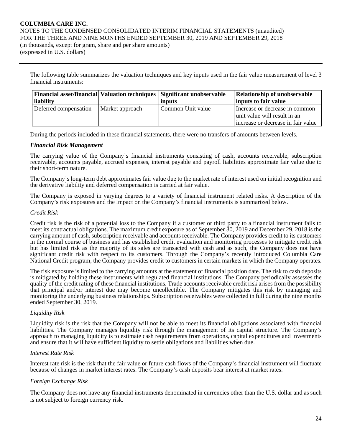(expressed in U.S. dollars)

The following table summarizes the valuation techniques and key inputs used in the fair value measurement of level 3 financial instruments:

| <b>Financial asset/financial Valuation techniques Significant unobservable</b> |                 |                   | <b>Relationship of unobservable</b> |  |  |  |
|--------------------------------------------------------------------------------|-----------------|-------------------|-------------------------------------|--|--|--|
| liability                                                                      |                 | inputs            | inputs to fair value                |  |  |  |
| Deferred compensation                                                          | Market approach | Common Unit value | Increase or decrease in common      |  |  |  |
|                                                                                |                 |                   | unit value will result in an        |  |  |  |
|                                                                                |                 |                   | increase or decrease in fair value  |  |  |  |

During the periods included in these financial statements, there were no transfers of amounts between levels.

#### *Financial Risk Management*

The carrying value of the Company's financial instruments consisting of cash, accounts receivable, subscription receivable, accounts payable, accrued expenses, interest payable and payroll liabilities approximate fair value due to their short-term nature.

The Company's long-term debt approximates fair value due to the market rate of interest used on initial recognition and the derivative liability and deferred compensation is carried at fair value.

The Company is exposed in varying degrees to a variety of financial instrument related risks. A description of the Company's risk exposures and the impact on the Company's financial instruments is summarized below.

#### *Credit Risk*

Credit risk is the risk of a potential loss to the Company if a customer or third party to a financial instrument fails to meet its contractual obligations. The maximum credit exposure as of September 30, 2019 and December 29, 2018 is the carrying amount of cash, subscription receivable and accounts receivable. The Company provides credit to its customers in the normal course of business and has established credit evaluation and monitoring processes to mitigate credit risk but has limited risk as the majority of its sales are transacted with cash and as such, the Company does not have significant credit risk with respect to its customers. Through the Company's recently introduced Columbia Care National Credit program, the Company provides credit to customers in certain markets in which the Company operates.

The risk exposure is limited to the carrying amounts at the statement of financial position date. The risk to cash deposits is mitigated by holding these instruments with regulated financial institutions. The Company periodically assesses the quality of the credit rating of these financial institutions. Trade accounts receivable credit risk arises from the possibility that principal and/or interest due may become uncollectible. The Company mitigates this risk by managing and monitoring the underlying business relationships. Subscription receivables were collected in full during the nine months ended September 30, 2019.

#### *Liquidity Risk*

Liquidity risk is the risk that the Company will not be able to meet its financial obligations associated with financial liabilities. The Company manages liquidity risk through the management of its capital structure. The Company's approach to managing liquidity is to estimate cash requirements from operations, capital expenditures and investments and ensure that it will have sufficient liquidity to settle obligations and liabilities when due.

#### *Interest Rate Risk*

Interest rate risk is the risk that the fair value or future cash flows of the Company's financial instrument will fluctuate because of changes in market interest rates. The Company's cash deposits bear interest at market rates.

#### *Foreign Exchange Risk*

The Company does not have any financial instruments denominated in currencies other than the U.S. dollar and as such is not subject to foreign currency risk.